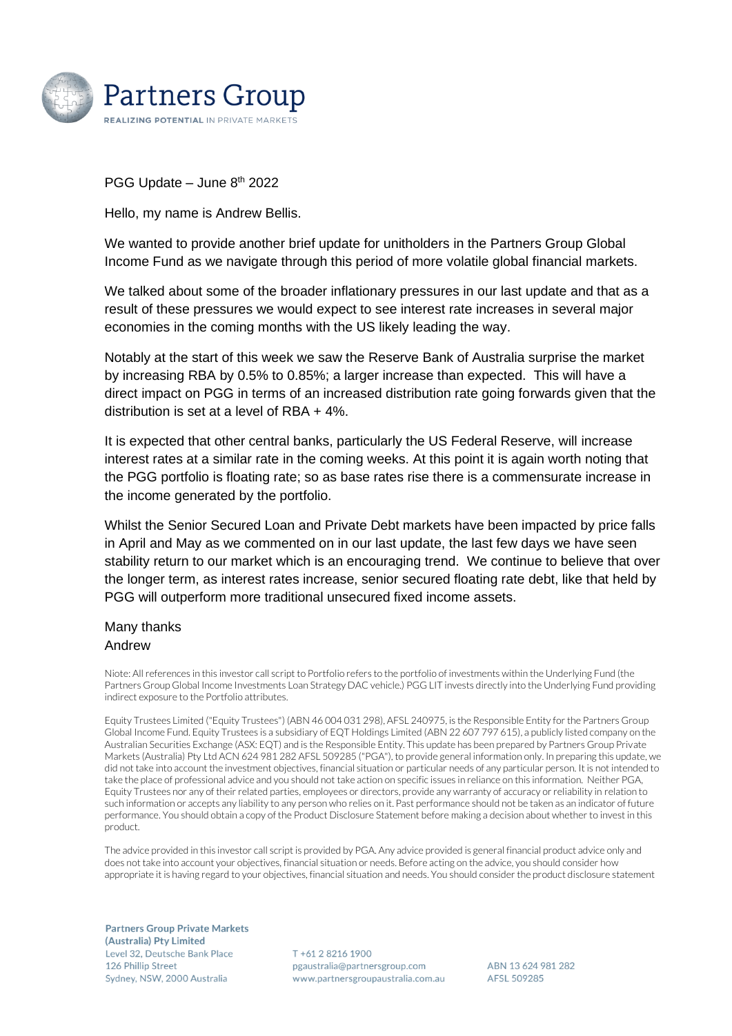

PGG Update – June 8<sup>th</sup> 2022

Hello, my name is Andrew Bellis.

We wanted to provide another brief update for unitholders in the Partners Group Global Income Fund as we navigate through this period of more volatile global financial markets.

We talked about some of the broader inflationary pressures in our last update and that as a result of these pressures we would expect to see interest rate increases in several major economies in the coming months with the US likely leading the way.

Notably at the start of this week we saw the Reserve Bank of Australia surprise the market by increasing RBA by 0.5% to 0.85%; a larger increase than expected. This will have a direct impact on PGG in terms of an increased distribution rate going forwards given that the distribution is set at a level of RBA + 4%.

It is expected that other central banks, particularly the US Federal Reserve, will increase interest rates at a similar rate in the coming weeks. At this point it is again worth noting that the PGG portfolio is floating rate; so as base rates rise there is a commensurate increase in the income generated by the portfolio.

Whilst the Senior Secured Loan and Private Debt markets have been impacted by price falls in April and May as we commented on in our last update, the last few days we have seen stability return to our market which is an encouraging trend. We continue to believe that over the longer term, as interest rates increase, senior secured floating rate debt, like that held by PGG will outperform more traditional unsecured fixed income assets.

## Many thanks Andrew

Niote: All references in this investor call script to Portfolio refers to the portfolio of investments within the Underlying Fund (the Partners Group Global Income Investments Loan Strategy DAC vehicle.) PGG LIT invests directly into the Underlying Fund providing indirect exposure to the Portfolio attributes.

Equity Trustees Limited ("Equity Trustees") (ABN 46 004 031 298), AFSL 240975, is the Responsible Entity for the Partners Group Global Income Fund. Equity Trustees is a subsidiary of EQT Holdings Limited (ABN 22 607 797 615), a publicly listed company on the Australian Securities Exchange (ASX: EQT) and is the Responsible Entity. This update has been prepared by Partners Group Private Markets (Australia) Pty Ltd ACN 624 981 282 AFSL 509285 ("PGA"), to provide general information only. In preparing this update, we did not take into account the investment objectives, financial situation or particular needs of any particular person. It is not intended to take the place of professional advice and you should not take action on specific issues in reliance on this information. Neither PGA, Equity Trustees nor any of their related parties, employees or directors, provide any warranty of accuracy or reliability in relation to such information or accepts any liability to any person who relies on it. Past performance should not be taken as an indicator of future performance. You should obtain a copy of the Product Disclosure Statement before making a decision about whether to invest in this product.

The advice provided in this investor call script is provided by PGA. Any advice provided is general financial product advice only and does not take into account your objectives, financial situation or needs. Before acting on the advice, you should consider how appropriate it is having regard to your objectives, financial situation and needs. You should consider the product disclosure statement

**Partners Group Private Markets** (Australia) Pty Limited Level 32, Deutsche Bank Place 126 Phillip Street Sydney, NSW, 2000 Australia

T+61 2 8216 1900 pgaustralia@partnersgroup.com www.partnersgroupaustralia.com.au

ABN 13624981282 AFSL 509285